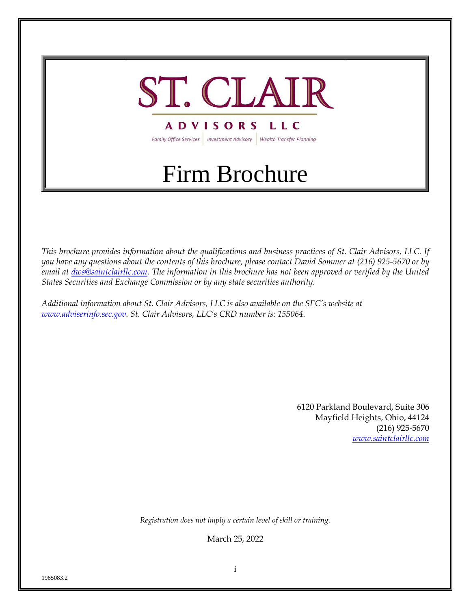

Family Office Services | Investment Advisory | Wealth Transfer Planning

# Firm Brochure

*This brochure provides information about the qualifications and business practices of St. Clair Advisors, LLC. If you have any questions about the contents of this brochure, please contact David Sommer at (216) 925-5670 or by email at [dws@saintclairllc.com.](mailto:dws@saintclairllc.com) The information in this brochure has not been approved or verified by the United States Securities and Exchange Commission or by any state securities authority.*

*Additional information about St. Clair Advisors, LLC is also available on the SEC's website at [www.adviserinfo.sec.gov.](http://www.adviserinfo.sec.gov/) St. Clair Advisors, LLC's CRD number is: 155064*.

> 6120 Parkland Boulevard, Suite 306 Mayfield Heights, Ohio, 44124 (216) 925-5670 *[www.saintclairllc.com](http://www.saintclairllc.com/)*

*Registration does not imply a certain level of skill or training.*

March 25, 2022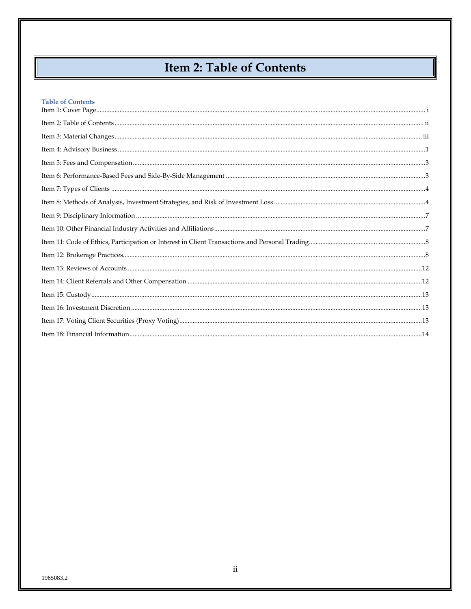# Item 2: Table of Contents

| <b>Table of Contents</b> |  |
|--------------------------|--|
|                          |  |
|                          |  |
|                          |  |
|                          |  |
|                          |  |
|                          |  |
|                          |  |
|                          |  |
|                          |  |
|                          |  |
|                          |  |
|                          |  |
|                          |  |
|                          |  |
|                          |  |
|                          |  |
|                          |  |

I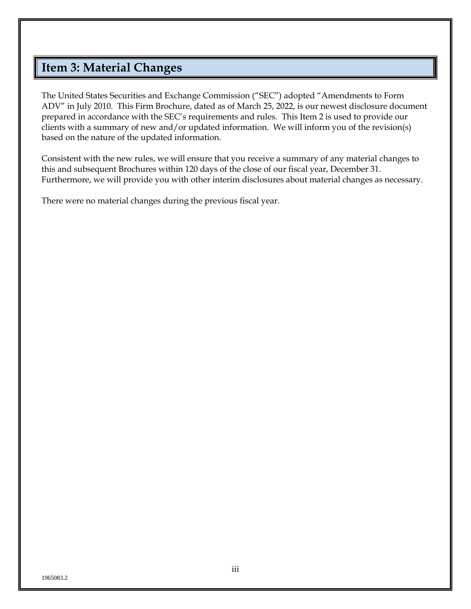# <span id="page-2-0"></span>**Item 3: Material Changes**

The United States Securities and Exchange Commission ("SEC") adopted "Amendments to Form ADV" in July 2010. This Firm Brochure, dated as of March 25, 2022, is our newest disclosure document prepared in accordance with the SEC's requirements and rules. This Item 2 is used to provide our clients with a summary of new and/or updated information. We will inform you of the revision(s) based on the nature of the updated information.

Consistent with the new rules, we will ensure that you receive a summary of any material changes to this and subsequent Brochures within 120 days of the close of our fiscal year, December 31. Furthermore, we will provide you with other interim disclosures about material changes as necessary.

There were no material changes during the previous fiscal year.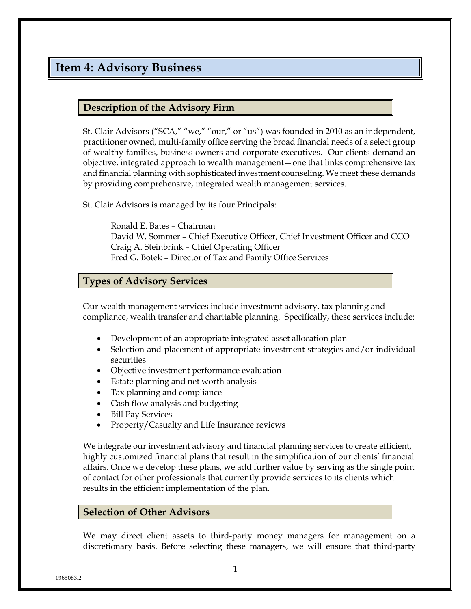# <span id="page-3-0"></span>**Item 4: Advisory Business**

#### **Description of the Advisory Firm**

St. Clair Advisors ("SCA," "we," "our," or "us") was founded in 2010 as an independent, practitioner owned, multi-family office serving the broad financial needs of a select group of wealthy families, business owners and corporate executives. Our clients demand an objective, integrated approach to wealth management—one that links comprehensive tax and financial planning with sophisticated investment counseling. We meet these demands by providing comprehensive, integrated wealth management services.

St. Clair Advisors is managed by its four Principals:

Ronald E. Bates – Chairman David W. Sommer – Chief Executive Officer, Chief Investment Officer and CCO Craig A. Steinbrink – Chief Operating Officer Fred G. Botek – Director of Tax and Family Office Services

#### **Types of Advisory Services**

Our wealth management services include investment advisory, tax planning and compliance, wealth transfer and charitable planning. Specifically, these services include:

- Development of an appropriate integrated asset allocation plan
- Selection and placement of appropriate investment strategies and/or individual securities
- Objective investment performance evaluation
- Estate planning and net worth analysis
- Tax planning and compliance
- Cash flow analysis and budgeting
- Bill Pay Services
- Property/Casualty and Life Insurance reviews

We integrate our investment advisory and financial planning services to create efficient, highly customized financial plans that result in the simplification of our clients' financial affairs. Once we develop these plans, we add further value by serving as the single point of contact for other professionals that currently provide services to its clients which results in the efficient implementation of the plan.

#### **Selection of Other Advisors**

We may direct client assets to third-party money managers for management on a discretionary basis. Before selecting these managers, we will ensure that third-party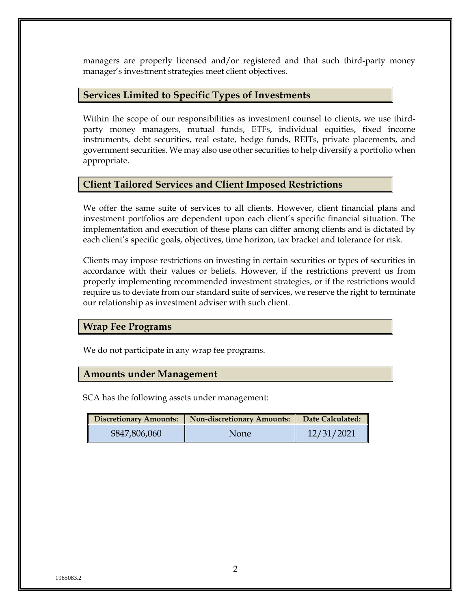managers are properly licensed and/or registered and that such third-party money manager's investment strategies meet client objectives.

#### **Services Limited to Specific Types of Investments**

Within the scope of our responsibilities as investment counsel to clients, we use thirdparty money managers, mutual funds, ETFs, individual equities, fixed income instruments, debt securities, real estate, hedge funds, REITs, private placements, and government securities. We may also use other securities to help diversify a portfolio when appropriate.

#### **Client Tailored Services and Client Imposed Restrictions**

We offer the same suite of services to all clients. However, client financial plans and investment portfolios are dependent upon each client's specific financial situation. The implementation and execution of these plans can differ among clients and is dictated by each client's specific goals, objectives, time horizon, tax bracket and tolerance for risk.

Clients may impose restrictions on investing in certain securities or types of securities in accordance with their values or beliefs. However, if the restrictions prevent us from properly implementing recommended investment strategies, or if the restrictions would require us to deviate from our standard suite of services, we reserve the right to terminate our relationship as investment adviser with such client.

#### **Wrap Fee Programs**

We do not participate in any wrap fee programs.

#### **Amounts under Management**

SCA has the following assets under management:

|               | Discretionary Amounts:   Non-discretionary Amounts: | Date Calculated: |
|---------------|-----------------------------------------------------|------------------|
| \$847,806,060 | None                                                | 12/31/2021       |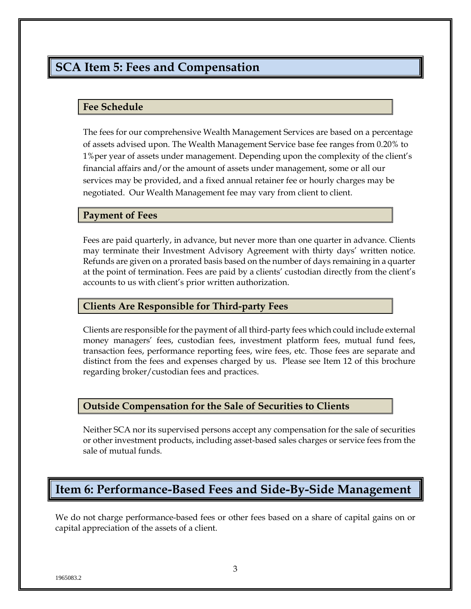## <span id="page-5-0"></span>**SCA Item 5: Fees and Compensation**

#### **Fee Schedule**

The fees for our comprehensive Wealth Management Services are based on a percentage of assets advised upon. The Wealth Management Service base fee ranges from 0.20% to 1%per year of assets under management. Depending upon the complexity of the client's financial affairs and/or the amount of assets under management, some or all our services may be provided, and a fixed annual retainer fee or hourly charges may be negotiated. Our Wealth Management fee may vary from client to client.

#### **Payment of Fees**

Fees are paid quarterly, in advance, but never more than one quarter in advance. Clients may terminate their Investment Advisory Agreement with thirty days' written notice. Refunds are given on a prorated basis based on the number of days remaining in a quarter at the point of termination. Fees are paid by a clients' custodian directly from the client's accounts to us with client's prior written authorization.

#### **Clients Are Responsible for Third-party Fees**

Clients are responsible for the payment of all third-party fees which could include external money managers' fees, custodian fees, investment platform fees, mutual fund fees, transaction fees, performance reporting fees, wire fees, etc. Those fees are separate and distinct from the fees and expenses charged by us. Please see Item 12 of this brochure regarding broker/custodian fees and practices.

#### **Outside Compensation for the Sale of Securities to Clients**

Neither SCA nor its supervised persons accept any compensation for the sale of securities or other investment products, including asset-based sales charges or service fees from the sale of mutual funds.

## <span id="page-5-1"></span>**Item 6: Performance-Based Fees and Side-By-Side Management**

We do not charge performance-based fees or other fees based on a share of capital gains on or capital appreciation of the assets of a client.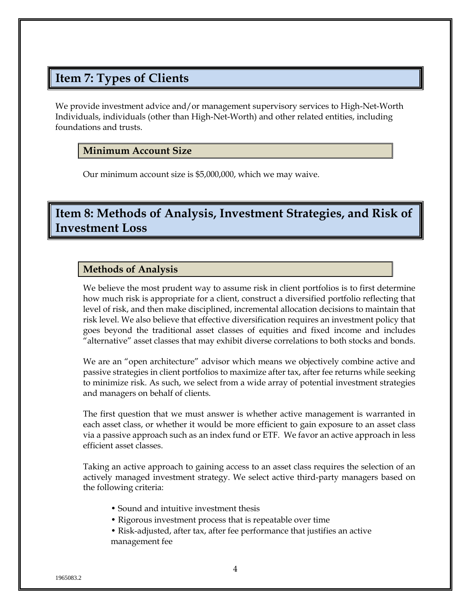# <span id="page-6-0"></span>**Item 7: Types of Clients**

We provide investment advice and/or management supervisory services to High-Net-Worth Individuals, individuals (other than High-Net-Worth) and other related entities, including foundations and trusts.

#### **Minimum Account Size**

Our minimum account size is \$5,000,000, which we may waive.

## <span id="page-6-1"></span>**Item 8: Methods of Analysis, Investment Strategies, and Risk of Investment Loss**

#### **Methods of Analysis**

We believe the most prudent way to assume risk in client portfolios is to first determine how much risk is appropriate for a client, construct a diversified portfolio reflecting that level of risk, and then make disciplined, incremental allocation decisions to maintain that risk level. We also believe that effective diversification requires an investment policy that goes beyond the traditional asset classes of equities and fixed income and includes "alternative" asset classes that may exhibit diverse correlations to both stocks and bonds.

We are an "open architecture" advisor which means we objectively combine active and passive strategies in client portfolios to maximize after tax, after fee returns while seeking to minimize risk. As such, we select from a wide array of potential investment strategies and managers on behalf of clients.

The first question that we must answer is whether active management is warranted in each asset class, or whether it would be more efficient to gain exposure to an asset class via a passive approach such as an index fund or ETF. We favor an active approach in less efficient asset classes.

Taking an active approach to gaining access to an asset class requires the selection of an actively managed investment strategy. We select active third-party managers based on the following criteria:

- Sound and intuitive investment thesis
- Rigorous investment process that is repeatable over time
- Risk-adjusted, after tax, after fee performance that justifies an active management fee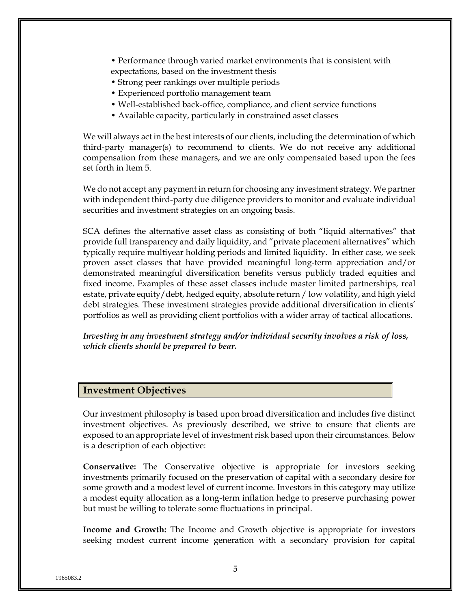- Performance through varied market environments that is consistent with expectations, based on the investment thesis
- Strong peer rankings over multiple periods
- Experienced portfolio management team
- Well-established back-office, compliance, and client service functions
- Available capacity, particularly in constrained asset classes

We will always act in the best interests of our clients, including the determination of which third-party manager(s) to recommend to clients. We do not receive any additional compensation from these managers, and we are only compensated based upon the fees set forth in Item 5.

We do not accept any payment in return for choosing any investment strategy. We partner with independent third-party due diligence providers to monitor and evaluate individual securities and investment strategies on an ongoing basis.

SCA defines the alternative asset class as consisting of both "liquid alternatives" that provide full transparency and daily liquidity, and "private placement alternatives" which typically require multiyear holding periods and limited liquidity. In either case, we seek proven asset classes that have provided meaningful long-term appreciation and/or demonstrated meaningful diversification benefits versus publicly traded equities and fixed income. Examples of these asset classes include master limited partnerships, real estate, private equity/debt, hedged equity, absolute return / low volatility, and high yield debt strategies. These investment strategies provide additional diversification in clients' portfolios as well as providing client portfolios with a wider array of tactical allocations.

*Investing in any investment strategy and/or individual security involves a risk of loss, which clients should be prepared to bear.*

#### **Investment Objectives**

Our investment philosophy is based upon broad diversification and includes five distinct investment objectives. As previously described, we strive to ensure that clients are exposed to an appropriate level of investment risk based upon their circumstances. Below is a description of each objective:

**Conservative:** The Conservative objective is appropriate for investors seeking investments primarily focused on the preservation of capital with a secondary desire for some growth and a modest level of current income. Investors in this category may utilize a modest equity allocation as a long-term inflation hedge to preserve purchasing power but must be willing to tolerate some fluctuations in principal.

**Income and Growth:** The Income and Growth objective is appropriate for investors seeking modest current income generation with a secondary provision for capital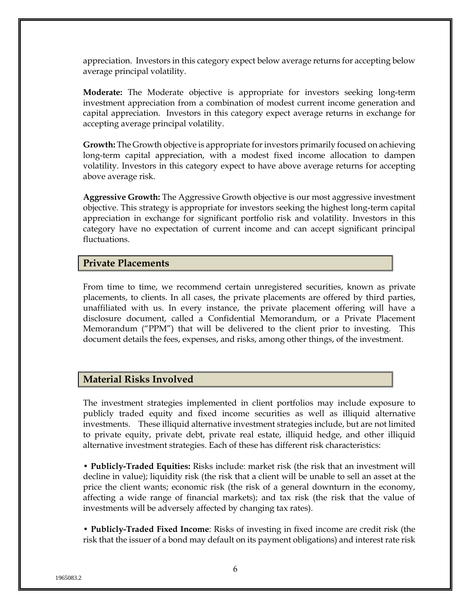appreciation. Investors in this category expect below average returns for accepting below average principal volatility.

**Moderate:** The Moderate objective is appropriate for investors seeking long-term investment appreciation from a combination of modest current income generation and capital appreciation. Investors in this category expect average returns in exchange for accepting average principal volatility.

**Growth:** The Growth objective is appropriate for investors primarily focused on achieving long-term capital appreciation, with a modest fixed income allocation to dampen volatility. Investors in this category expect to have above average returns for accepting above average risk.

**Aggressive Growth:** The Aggressive Growth objective is our most aggressive investment objective. This strategy is appropriate for investors seeking the highest long-term capital appreciation in exchange for significant portfolio risk and volatility. Investors in this category have no expectation of current income and can accept significant principal fluctuations.

#### **Private Placements**

From time to time, we recommend certain unregistered securities, known as private placements, to clients. In all cases, the private placements are offered by third parties, unaffiliated with us. In every instance, the private placement offering will have a disclosure document, called a Confidential Memorandum, or a Private Placement Memorandum ("PPM") that will be delivered to the client prior to investing. This document details the fees, expenses, and risks, among other things, of the investment.

#### **Material Risks Involved**

The investment strategies implemented in client portfolios may include exposure to publicly traded equity and fixed income securities as well as illiquid alternative investments. These illiquid alternative investment strategies include, but are not limited to private equity, private debt, private real estate, illiquid hedge, and other illiquid alternative investment strategies. Each of these has different risk characteristics:

**• Publicly-Traded Equities:** Risks include: market risk (the risk that an investment will decline in value); liquidity risk (the risk that a client will be unable to sell an asset at the price the client wants; economic risk (the risk of a general downturn in the economy, affecting a wide range of financial markets); and tax risk (the risk that the value of investments will be adversely affected by changing tax rates).

**• Publicly-Traded Fixed Income**: Risks of investing in fixed income are credit risk (the risk that the issuer of a bond may default on its payment obligations) and interest rate risk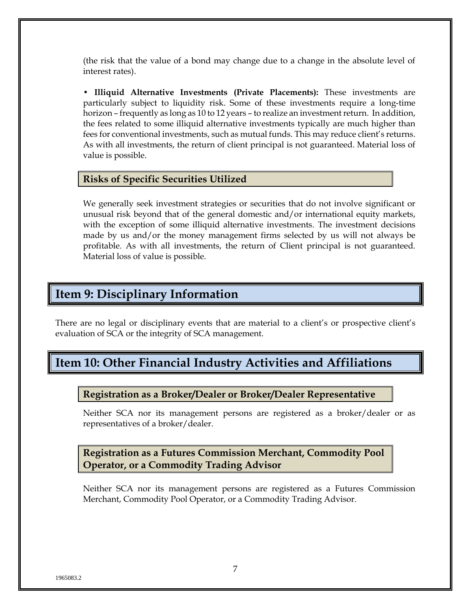(the risk that the value of a bond may change due to a change in the absolute level of interest rates).

**• Illiquid Alternative Investments (Private Placements):** These investments are particularly subject to liquidity risk. Some of these investments require a long-time horizon – frequently as long as 10 to 12 years – to realize an investment return. In addition, the fees related to some illiquid alternative investments typically are much higher than fees for conventional investments, such as mutual funds. This may reduce client's returns. As with all investments, the return of client principal is not guaranteed. Material loss of value is possible.

#### **Risks of Specific Securities Utilized**

We generally seek investment strategies or securities that do not involve significant or unusual risk beyond that of the general domestic and/or international equity markets, with the exception of some illiquid alternative investments. The investment decisions made by us and/or the money management firms selected by us will not always be profitable. As with all investments, the return of Client principal is not guaranteed. Material loss of value is possible.

### <span id="page-9-0"></span>**Item 9: Disciplinary Information**

There are no legal or disciplinary events that are material to a client's or prospective client's evaluation of SCA or the integrity of SCA management.

# <span id="page-9-1"></span>**Item 10: Other Financial Industry Activities and Affiliations**

#### **Registration as a Broker/Dealer or Broker/Dealer Representative**

Neither SCA nor its management persons are registered as a broker/dealer or as representatives of a broker/dealer.

**Registration as a Futures Commission Merchant, Commodity Pool Operator, or a Commodity Trading Advisor**

Neither SCA nor its management persons are registered as a Futures Commission Merchant, Commodity Pool Operator, or a Commodity Trading Advisor.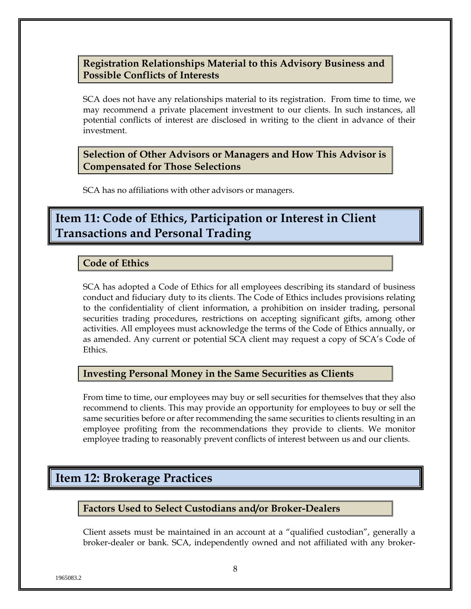#### **Registration Relationships Material to this Advisory Business and Possible Conflicts of Interests**

SCA does not have any relationships material to its registration. From time to time, we may recommend a private placement investment to our clients. In such instances, all potential conflicts of interest are disclosed in writing to the client in advance of their investment.

#### **Selection of Other Advisors or Managers and How This Advisor is Compensated for Those Selections**

SCA has no affiliations with other advisors or managers.

# <span id="page-10-0"></span>**Item 11: Code of Ethics, Participation or Interest in Client Transactions and Personal Trading**

#### **Code of Ethics**

SCA has adopted a Code of Ethics for all employees describing its standard of business conduct and fiduciary duty to its clients. The Code of Ethics includes provisions relating to the confidentiality of client information, a prohibition on insider trading, personal securities trading procedures, restrictions on accepting significant gifts, among other activities. All employees must acknowledge the terms of the Code of Ethics annually, or as amended. Any current or potential SCA client may request a copy of SCA's Code of **Ethics** 

#### **Investing Personal Money in the Same Securities as Clients**

From time to time, our employees may buy or sell securities for themselves that they also recommend to clients. This may provide an opportunity for employees to buy or sell the same securities before or after recommending the same securities to clients resulting in an employee profiting from the recommendations they provide to clients. We monitor employee trading to reasonably prevent conflicts of interest between us and our clients.

# <span id="page-10-1"></span>**Item 12: Brokerage Practices**

#### **Factors Used to Select Custodians and/or Broker-Dealers**

Client assets must be maintained in an account at a "qualified custodian", generally a broker-dealer or bank. SCA, independently owned and not affiliated with any broker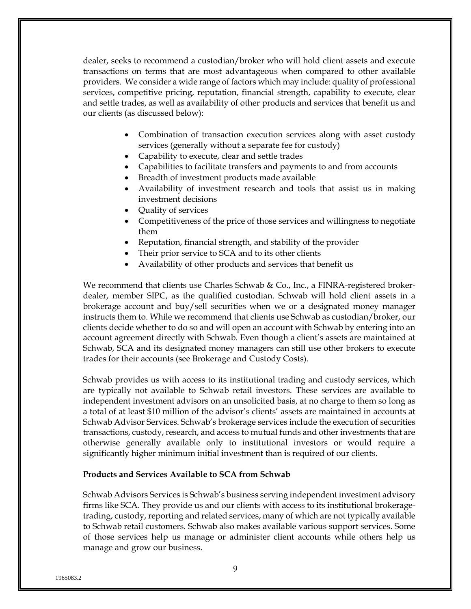dealer, seeks to recommend a custodian/broker who will hold client assets and execute transactions on terms that are most advantageous when compared to other available providers. We consider a wide range of factors which may include: quality of professional services, competitive pricing, reputation, financial strength, capability to execute, clear and settle trades, as well as availability of other products and services that benefit us and our clients (as discussed below):

- Combination of transaction execution services along with asset custody services (generally without a separate fee for custody)
- Capability to execute, clear and settle trades
- Capabilities to facilitate transfers and payments to and from accounts
- Breadth of investment products made available
- Availability of investment research and tools that assist us in making investment decisions
- Quality of services
- Competitiveness of the price of those services and willingness to negotiate them
- Reputation, financial strength, and stability of the provider
- Their prior service to SCA and to its other clients
- Availability of other products and services that benefit us

We recommend that clients use Charles Schwab & Co., Inc., a FINRA-registered brokerdealer, member SIPC, as the qualified custodian. Schwab will hold client assets in a brokerage account and buy/sell securities when we or a designated money manager instructs them to. While we recommend that clients use Schwab as custodian/broker, our clients decide whether to do so and will open an account with Schwab by entering into an account agreement directly with Schwab. Even though a client's assets are maintained at Schwab, SCA and its designated money managers can still use other brokers to execute trades for their accounts (see Brokerage and Custody Costs).

Schwab provides us with access to its institutional trading and custody services, which are typically not available to Schwab retail investors. These services are available to independent investment advisors on an unsolicited basis, at no charge to them so long as a total of at least \$10 million of the advisor's clients' assets are maintained in accounts at Schwab Advisor Services. Schwab's brokerage services include the execution of securities transactions, custody, research, and access to mutual funds and other investments that are otherwise generally available only to institutional investors or would require a significantly higher minimum initial investment than is required of our clients.

#### **Products and Services Available to SCA from Schwab**

Schwab Advisors Services is Schwab's business serving independent investment advisory firms like SCA. They provide us and our clients with access to its institutional brokeragetrading, custody, reporting and related services, many of which are not typically available to Schwab retail customers. Schwab also makes available various support services. Some of those services help us manage or administer client accounts while others help us manage and grow our business.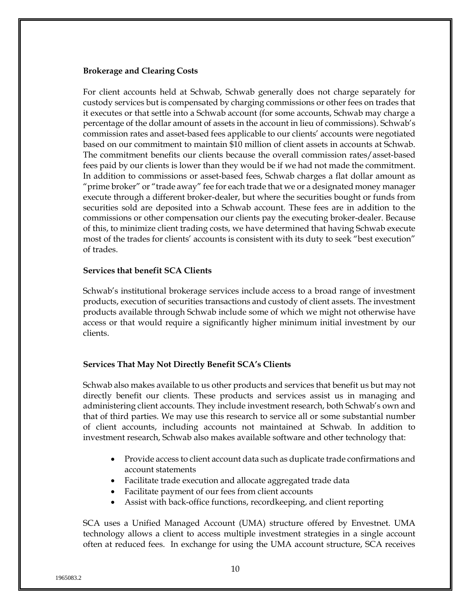#### **Brokerage and Clearing Costs**

For client accounts held at Schwab, Schwab generally does not charge separately for custody services but is compensated by charging commissions or other fees on trades that it executes or that settle into a Schwab account (for some accounts, Schwab may charge a percentage of the dollar amount of assets in the account in lieu of commissions). Schwab's commission rates and asset-based fees applicable to our clients' accounts were negotiated based on our commitment to maintain \$10 million of client assets in accounts at Schwab. The commitment benefits our clients because the overall commission rates/asset-based fees paid by our clients is lower than they would be if we had not made the commitment. In addition to commissions or asset-based fees, Schwab charges a flat dollar amount as "prime broker" or "trade away" fee for each trade that we or a designated money manager execute through a different broker-dealer, but where the securities bought or funds from securities sold are deposited into a Schwab account. These fees are in addition to the commissions or other compensation our clients pay the executing broker-dealer. Because of this, to minimize client trading costs, we have determined that having Schwab execute most of the trades for clients' accounts is consistent with its duty to seek "best execution" of trades.

#### **Services that benefit SCA Clients**

Schwab's institutional brokerage services include access to a broad range of investment products, execution of securities transactions and custody of client assets. The investment products available through Schwab include some of which we might not otherwise have access or that would require a significantly higher minimum initial investment by our clients.

#### **Services That May Not Directly Benefit SCA's Clients**

Schwab also makes available to us other products and services that benefit us but may not directly benefit our clients. These products and services assist us in managing and administering client accounts. They include investment research, both Schwab's own and that of third parties. We may use this research to service all or some substantial number of client accounts, including accounts not maintained at Schwab. In addition to investment research, Schwab also makes available software and other technology that:

- Provide access to client account data such as duplicate trade confirmations and account statements
- Facilitate trade execution and allocate aggregated trade data
- Facilitate payment of our fees from client accounts
- Assist with back-office functions, recordkeeping, and client reporting

SCA uses a Unified Managed Account (UMA) structure offered by Envestnet. UMA technology allows a client to access multiple investment strategies in a single account often at reduced fees. In exchange for using the UMA account structure, SCA receives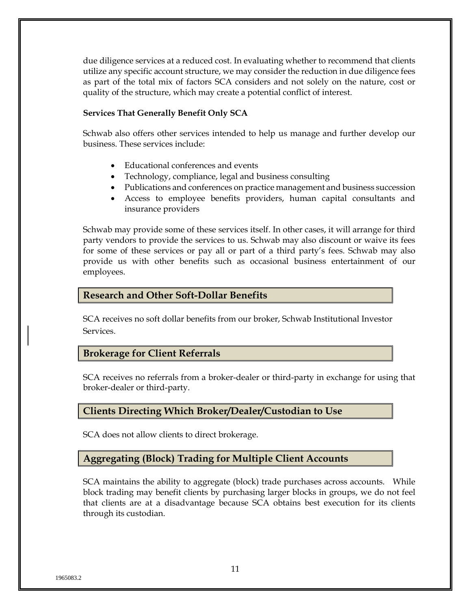due diligence services at a reduced cost. In evaluating whether to recommend that clients utilize any specific account structure, we may consider the reduction in due diligence fees as part of the total mix of factors SCA considers and not solely on the nature, cost or quality of the structure, which may create a potential conflict of interest.

#### **Services That Generally Benefit Only SCA**

Schwab also offers other services intended to help us manage and further develop our business. These services include:

- Educational conferences and events
- Technology, compliance, legal and business consulting
- Publications and conferences on practice management and business succession
- Access to employee benefits providers, human capital consultants and insurance providers

Schwab may provide some of these services itself. In other cases, it will arrange for third party vendors to provide the services to us. Schwab may also discount or waive its fees for some of these services or pay all or part of a third party's fees. Schwab may also provide us with other benefits such as occasional business entertainment of our employees.

#### **Research and Other Soft-Dollar Benefits**

SCA receives no soft dollar benefits from our broker, Schwab Institutional Investor Services.

#### **Brokerage for Client Referrals**

SCA receives no referrals from a broker-dealer or third-party in exchange for using that broker-dealer or third-party.

#### **Clients Directing Which Broker/Dealer/Custodian to Use**

SCA does not allow clients to direct brokerage.

#### **Aggregating (Block) Trading for Multiple Client Accounts**

SCA maintains the ability to aggregate (block) trade purchases across accounts. While block trading may benefit clients by purchasing larger blocks in groups, we do not feel that clients are at a disadvantage because SCA obtains best execution for its clients through its custodian.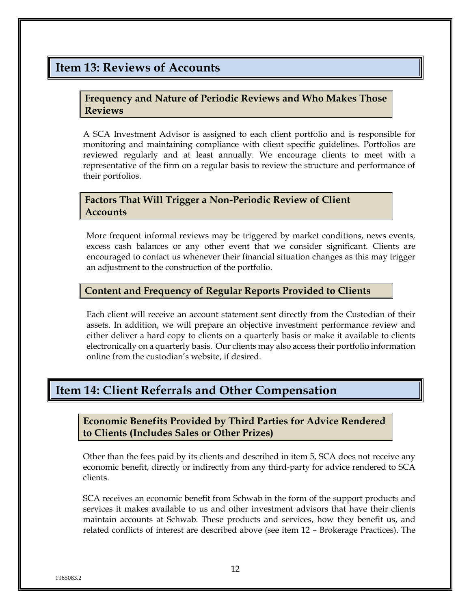## <span id="page-14-0"></span>**Item 13: Reviews of Accounts**

#### **Frequency and Nature of Periodic Reviews and Who Makes Those Reviews**

A SCA Investment Advisor is assigned to each client portfolio and is responsible for monitoring and maintaining compliance with client specific guidelines. Portfolios are reviewed regularly and at least annually. We encourage clients to meet with a representative of the firm on a regular basis to review the structure and performance of their portfolios.

#### **Factors That Will Trigger a Non-Periodic Review of Client Accounts**

More frequent informal reviews may be triggered by market conditions, news events, excess cash balances or any other event that we consider significant. Clients are encouraged to contact us whenever their financial situation changes as this may trigger an adjustment to the construction of the portfolio.

#### **Content and Frequency of Regular Reports Provided to Clients**

Each client will receive an account statement sent directly from the Custodian of their assets. In addition, we will prepare an objective investment performance review and either deliver a hard copy to clients on a quarterly basis or make it available to clients electronically on a quarterly basis. Our clients may also access their portfolio information online from the custodian's website, if desired.

## <span id="page-14-1"></span>**Item 14: Client Referrals and Other Compensation**

**Economic Benefits Provided by Third Parties for Advice Rendered to Clients (Includes Sales or Other Prizes)**

Other than the fees paid by its clients and described in item 5, SCA does not receive any economic benefit, directly or indirectly from any third-party for advice rendered to SCA clients.

SCA receives an economic benefit from Schwab in the form of the support products and services it makes available to us and other investment advisors that have their clients maintain accounts at Schwab. These products and services, how they benefit us, and related conflicts of interest are described above (see item 12 – Brokerage Practices). The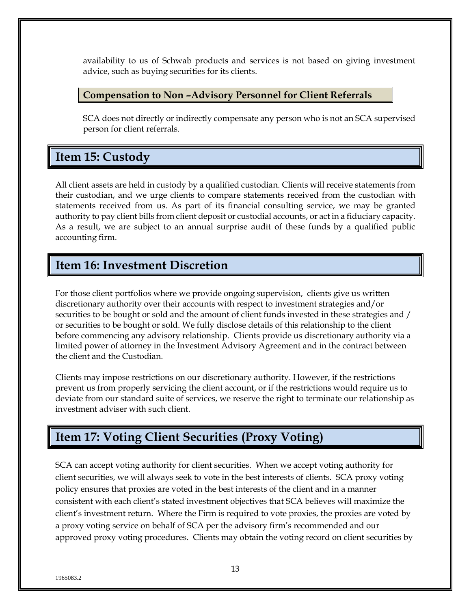availability to us of Schwab products and services is not based on giving investment advice, such as buying securities for its clients.

#### **Compensation to Non –Advisory Personnel for Client Referrals**

SCA does not directly or indirectly compensate any person who is not an SCA supervised person for client referrals.

# <span id="page-15-0"></span>**Item 15: Custody**

All client assets are held in custody by a qualified custodian. Clients will receive statements from their custodian, and we urge clients to compare statements received from the custodian with statements received from us. As part of its financial consulting service, we may be granted authority to pay client bills from client deposit or custodial accounts, or act in a fiduciary capacity. As a result, we are subject to an annual surprise audit of these funds by a qualified public accounting firm.

# <span id="page-15-1"></span>**Item 16: Investment Discretion**

For those client portfolios where we provide ongoing supervision, clients give us written discretionary authority over their accounts with respect to investment strategies and/or securities to be bought or sold and the amount of client funds invested in these strategies and / or securities to be bought or sold. We fully disclose details of this relationship to the client before commencing any advisory relationship. Clients provide us discretionary authority via a limited power of attorney in the Investment Advisory Agreement and in the contract between the client and the Custodian.

Clients may impose restrictions on our discretionary authority. However, if the restrictions prevent us from properly servicing the client account, or if the restrictions would require us to deviate from our standard suite of services, we reserve the right to terminate our relationship as investment adviser with such client.

# <span id="page-15-2"></span>**Item 17: Voting Client Securities (Proxy Voting)**

SCA can accept voting authority for client securities. When we accept voting authority for client securities, we will always seek to vote in the best interests of clients. SCA proxy voting policy ensures that proxies are voted in the best interests of the client and in a manner consistent with each client's stated investment objectives that SCA believes will maximize the client's investment return. Where the Firm is required to vote proxies, the proxies are voted by a proxy voting service on behalf of SCA per the advisory firm's recommended and our approved proxy voting procedures. Clients may obtain the voting record on client securities by